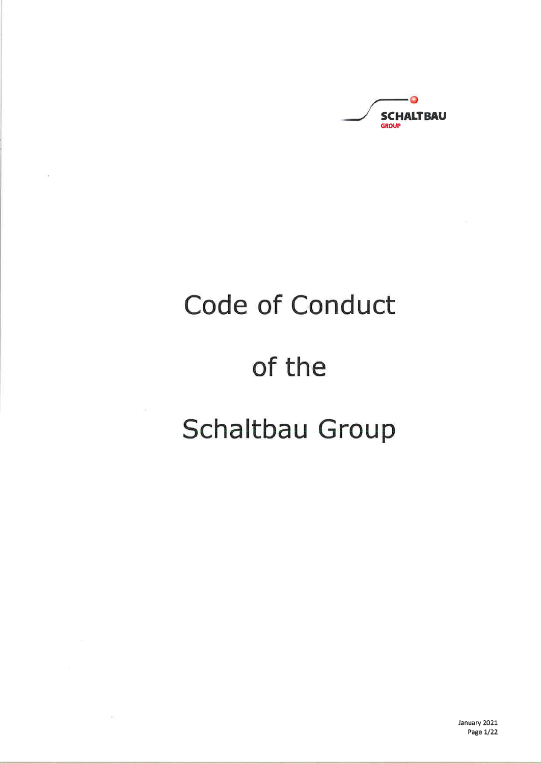$\bullet$ **SCHALTBAU** GROUP

# Code of Conduct

ò.

 $(4)$ 

## of the

## Schaltbau Group

January 2021 Page 1/22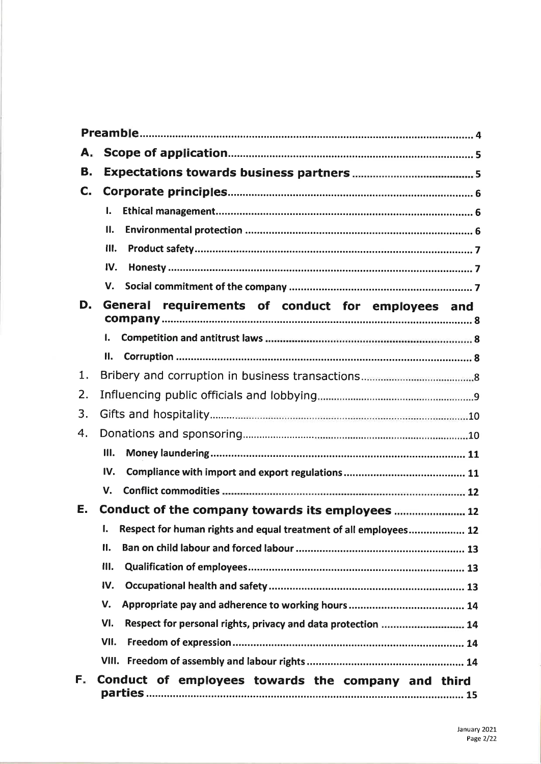| А.  |                                                                        |  |  |
|-----|------------------------------------------------------------------------|--|--|
| В.  |                                                                        |  |  |
| C.  |                                                                        |  |  |
|     | L.                                                                     |  |  |
|     | Ш.                                                                     |  |  |
|     | Ш.                                                                     |  |  |
|     | IV.                                                                    |  |  |
|     | V.                                                                     |  |  |
| D.  | General requirements of conduct for employees and                      |  |  |
|     | 1.                                                                     |  |  |
|     | 11.                                                                    |  |  |
| 1.  |                                                                        |  |  |
| 2.  |                                                                        |  |  |
| 3.  |                                                                        |  |  |
| 4.  |                                                                        |  |  |
|     | Ш.                                                                     |  |  |
|     | IV.                                                                    |  |  |
|     | $V_{\cdot}$                                                            |  |  |
| Е.  | Conduct of the company towards its employees 12                        |  |  |
|     | Respect for human rights and equal treatment of all employees 12<br>I. |  |  |
|     | Π.                                                                     |  |  |
|     | III.                                                                   |  |  |
|     | IV.                                                                    |  |  |
|     | V.                                                                     |  |  |
|     | VI.<br>Respect for personal rights, privacy and data protection  14    |  |  |
|     | VII.                                                                   |  |  |
|     | VIII.                                                                  |  |  |
| Б., | Conduct of employees towards the company and third                     |  |  |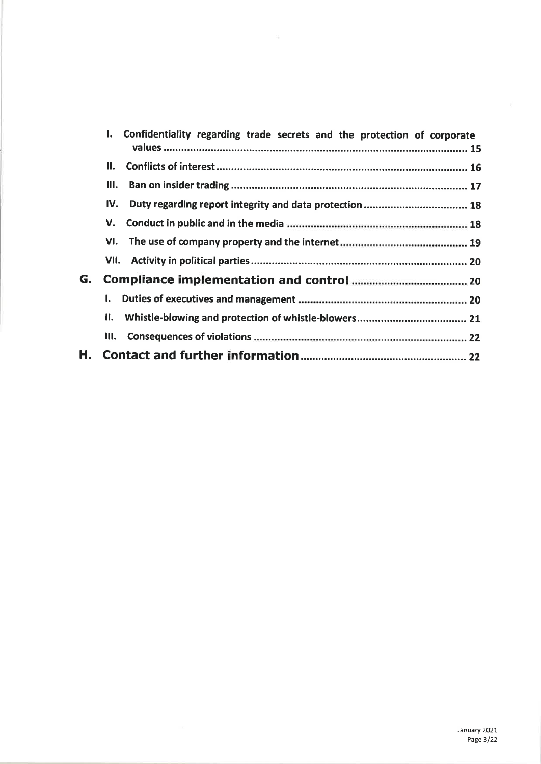|    | Ι.   | Confidentiality regarding trade secrets and the protection of corporate |
|----|------|-------------------------------------------------------------------------|
|    | П.   |                                                                         |
|    | Ш.   |                                                                         |
|    | IV.  | Duty regarding report integrity and data protection  18                 |
|    | v.   |                                                                         |
|    | VI.  |                                                                         |
|    |      |                                                                         |
| G. |      |                                                                         |
|    | I.   |                                                                         |
|    | II.  |                                                                         |
|    | III. |                                                                         |
| Η. |      |                                                                         |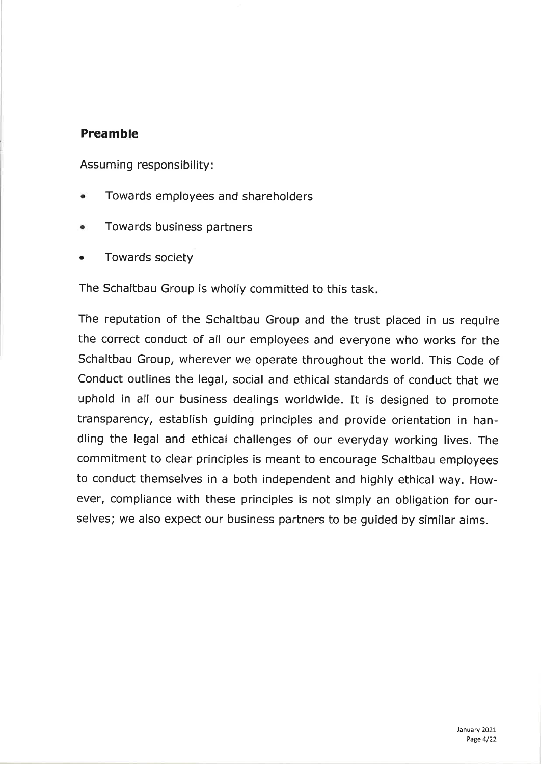## Preamble

Assuming responsibility :

- Towards employees and shareholders a
- a Towards business partners
- o Towards society

The Schaltbau Group is wholly committed to this task

The reputation of the Schaltbau Group and the trust placed in us require the correct conduct of all our employees and everyone who works for the Schaltbau Group, wherever we operate throughout the world. This Code of Conduct outlines the legal, social and ethical standards of conduct that we uphold in all our business dealings worldwide. It is designed to promote transparency, establish guiding principles and provide orientation in handling the legal and ethical challenges of our everyday working lives. The commitment to clear principles is meant to encourage Schaltbau employees to conduct themselves in a both independent and highly ethical way. However, compliance with these principles is not simply an obligation for ourselves; we also expect our business partners to be guided by similar aims.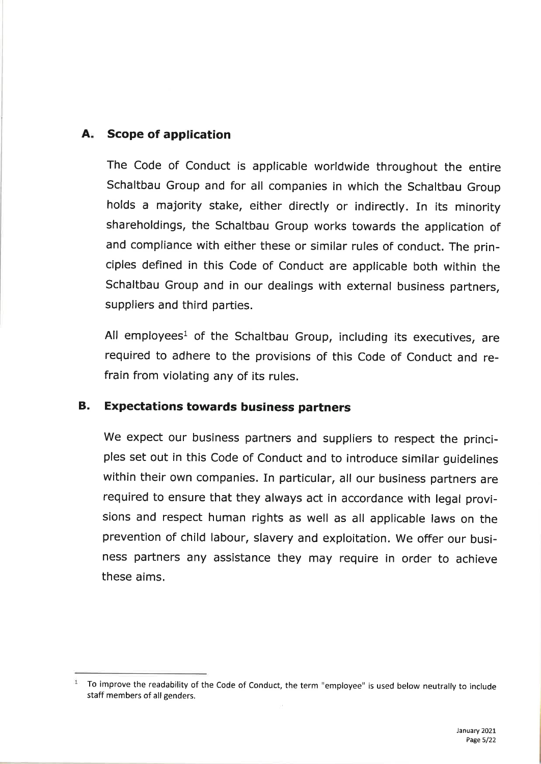## A. Scope of application

The Code of Conduct is applicable worldwide throughout the entire Schaltbau Group and for all companies in which the Schaltbau Group holds a majority stake, either directly or indirectly. In its minority shareholdings, the Schaltbau Group works towards the application of and compliance with either these or similar rules of conduct. The principles defined in this Code of Conduct are applicable both within the Schaltbau Group and in our dealings with external business partners, suppliers and third parties.

All employees<sup>1</sup> of the Schaltbau Group, including its executives, are required to adhere to the provisions of this Code of Conduct and refrain from violating any of its rules.

## B. Expectations towards business partners

We expect our business partners and suppliers to respect the principles set out in this Code of Conduct and to introduce similar guidelines within their own companies. In particular, all our business partners are required to ensure that they always act in accordance with legal provisions and respect human rights as well as all applicable laws on the prevention of child labour, slavery and exploitation. We offer our business partners any assistance they may require in order to achieve these aims.

To improve the readability of the Code of Conduct, the term "employee" is used below neutrally to ¡nclude staff members of all genders.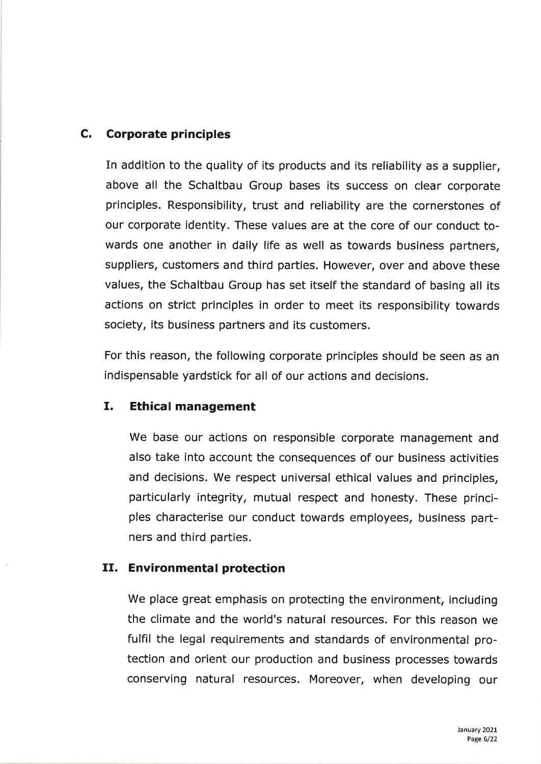## C, Corporate principles

In addition to the quality of its products and its reliability as a supplier, above all the Schaltbau Group bases its success on clear corporate principles. Responsibility, trust and reliability are the cornerstones of our corporate identity. These values are at the core of our conduct towards one another in daily life as well as towards business partners, suppliers, customers and third parties. However, over and above these values, the Schaltbau Group has set itself the standard of basing all its actions on strict principles in order to meet its responsibility towards society, its business partners and its customers.

For this reason, the following corporate principles should be seen as an indispensable yardstick for all of our actions and decisions.

#### I. Ethical management

We base our actions on responsible corporate management and also take into account the consequences of our business activities and decisions. We respect universal ethical values and principles, particularly integrity, mutual respect and honesty. These principles characterise our conduct towards employees, business partners and third parties.

## II. Environmental protection

We place great emphasis on protecting the environment, including the climate and the world's natural resources. For thís reason we fulfil the legal requirements and standards of environmental protection and orient our production and business processes towards conserving natural resources. Moreover, when developing our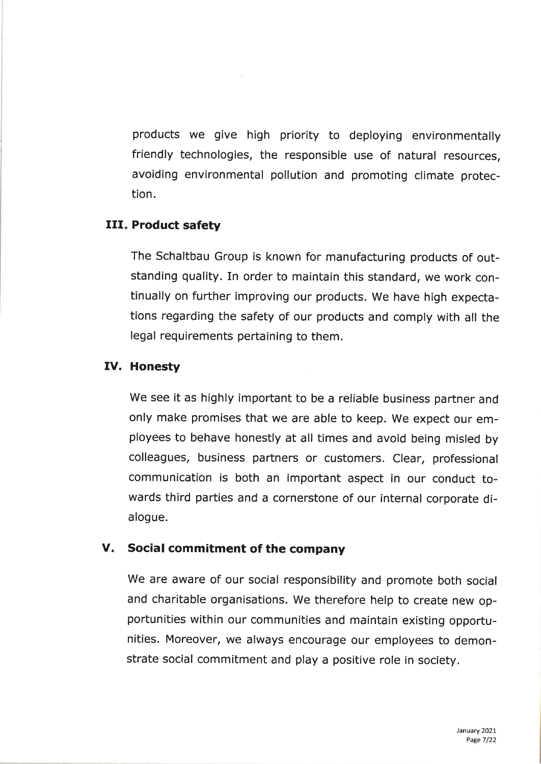products we give high priority to deploying environmentally friendly technologies, the responsible use of natural resources, avoiding environmental pollution and promoting climate protection.

 $\sim$   $\mu$  .

#### III. Product safety

The Schaltbau Group is known for manufacturing products of outstanding quality. In order to maintain this standard, we work continually on further improving our products. we have high expectations regarding the safety of our products and comply with all the legal requirements pertaining to them.

#### IV. Honesty

we see it as highly important to be a reliable business partner and only make promises that we are able to keep. We expect our employees to behave honestly at all times and avoid being misled by colleagues, business partners or customers. clear, professional communication is both an important aspect in our conduct towards third parties and a cornerstone of our internal corporate dialogue.

#### V. Social commitment of the company

we are aware of our social responsibility and promote both social and charitable organisations. we therefore help to create new opportunities within our communities and maintain existing opportunities. Moreover, we always encourage our employees to demonstrate social commitment and play a positive role ín society.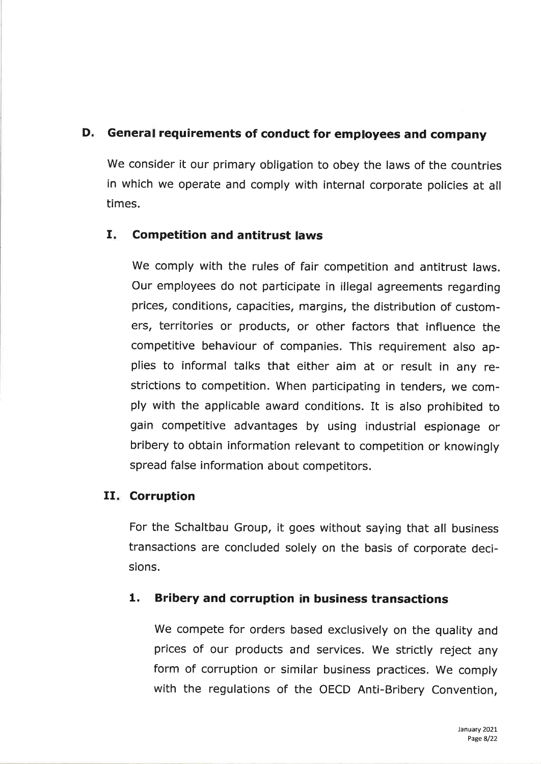## D. General requirements of conduct for employees and company

We consider it our primary obligation to obey the laws of the countries in which we operate and comply with internal corporate policies at all times.

## I. Competition and antitrust laws

we comply with the rules of fair competition and antitrust laws. Our employees do not participate in illegal agreements regarding prices, conditions, capacities, margins, the distribution of customers, territories or products, or other factors that influence the competitive behaviour of companies. This requirement also applies to informal talks that either aim at or result in any restrictions to competition. when participating in tenders, we comply with the applicable award conditions. It is also prohibited to gain competitive advantages by using industrial espionage or bribery to obtain information relevant to competition or knowingly spread false information about competitors.

## II. Corruption

For the schaltbau Group, it goes without saying that all business transactions are concluded solely on the basis of corporate decisions.

## 1. Bribery and corruption in business transactions

We compete for orders based exclusively on the quality and prices of our products and services. We strictly reject any form of corruption or similar business practices. We comply with the regulations of the OECD Anti-Bribery Convention,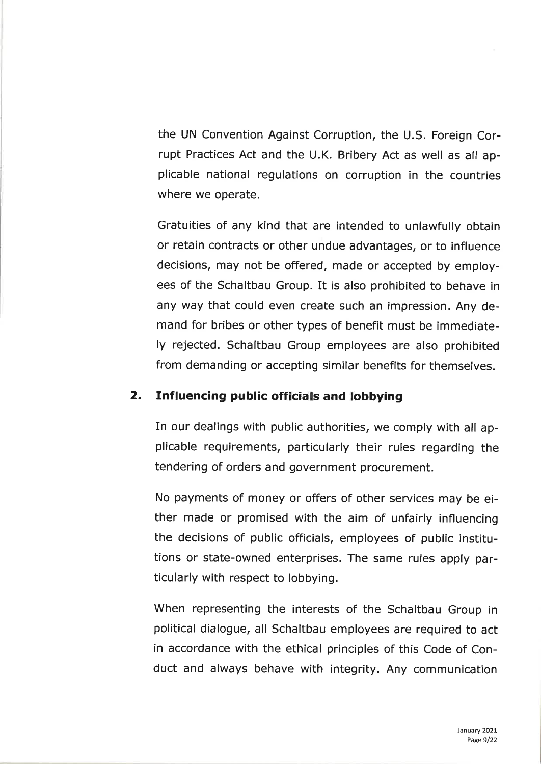the UN Convention Against Corruption, the U.S. Foreign Corrupt Practices Act and the U.K. Bribery Act as well as all applicable national regulations on corruption in the countries where we operate.

Gratuities of any kind that are intended to unlawfully obtain or retain contracts or other undue advantages, or to influence decisions, may not be offered, made or accepted by employees of the Schaltbau Group. It is also prohibited to behave in any way that could even create such an impression. Any demand for bribes or other types of benefit must be immediately rejected. Schaltbau Group employees are also prohibited from demanding or accepting similar benefits for themselves.

#### 2. Influencing public officials and lobbying

In our dealings with public authorities, we comply with all applicable requirements, particularly their rules regarding the tendering of orders and government procurement.

No payments of money or offers of other services may be either made or promised with the aim of unfairly influencing the decisions of public officials, employees of public institutions or state-owned enterprises. The same rules apply particularly with respect to lobbying.

When representing the interests of the Schaltbau Group in political dialogue, all Schaltbau employees are required to act in accordance with the ethical principles of this Code of Conduct and always behave with integrity. Any communication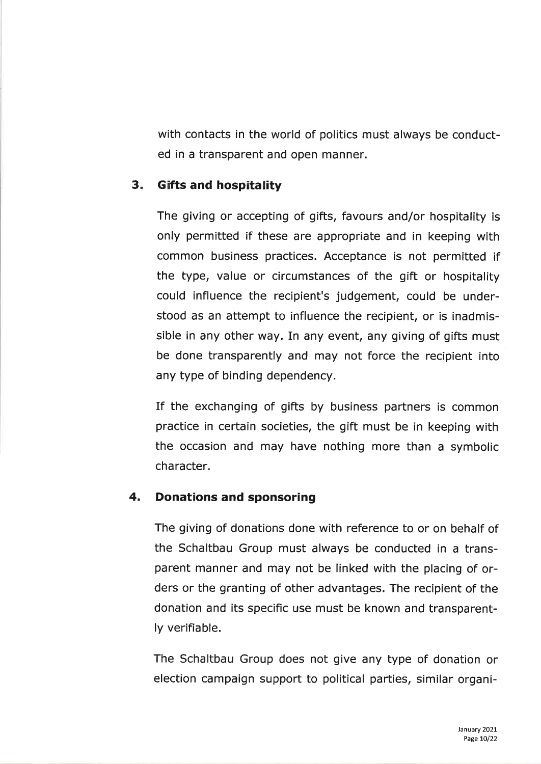with contacts in the world of politics must always be conducted in a transparent and open manner.

## 3. Gifts and hospitality

The giving or accepting of gifts, favours and/or hospitality is only permitted if these are appropriate and in keeping with common business practices. Acceptance is not permitted if the type, value or circumstances of the gift or hospitality could influence the recipient's judgement, could be understood as an attempt to influence the recipient, or is inadmissible in any other way. In any event, any giving of gifts must be done transparently and may not force the recipient into any type of binding dependency.

If the exchanging of gifts by business partners is common practice in certain societies, the gift must be in keeping with the occasion and may have nothing more than a symbolic character.

#### 4. Donations and sponsoring

The giving of donations done with reference to or on behalf of the Schaltbau Group must always be conducted in a transparent manner and may not be linked with the placing of orders or the granting of other advantages. The recipient of the donation and its specific use must be known and transparently verifiable.

The Schaltbau Group does not give any type of donation or election campaign support to political parties, similar organi-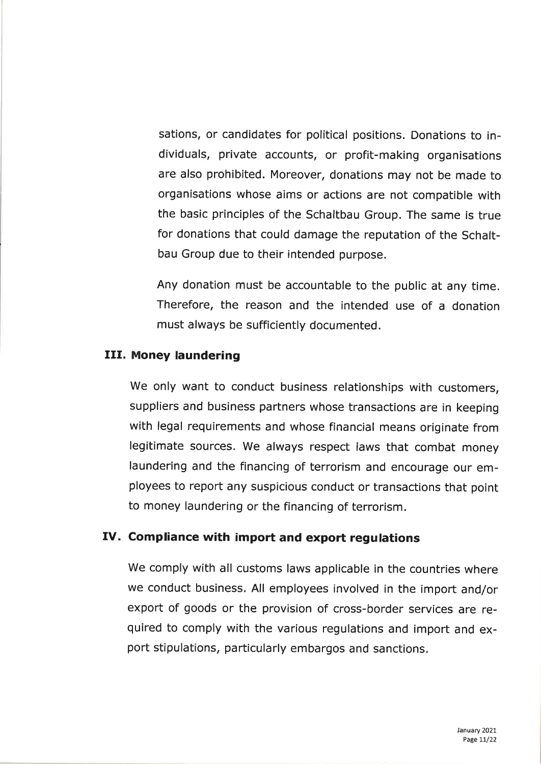sations, or candidates for political positions. Donations to individuals, private accounts, or profit-making organisations are also prohibited. Moreover, donations may not be made to organisations whose aims or actions are not compatible with the basic principles of the Schaltbau Group. The same is true for donations that could damage the reputation of the Schaltbau Group due to their intended purpose.

Any donation must be accountable to the public at any time. Therefore, the reason and the intended use of a donation must always be sufficiently documented.

#### III. Money laundering

we only want to conduct business relationships with customers, suppliers and business partners whose transactions are in keeping with legal requirements and whose financial means originate from legitimate sources. we always respect laws that combat money laundering and the financing of terrorism and encourage our employees to report any suspicious conduct or transactions that point to money laundering or the financing of terrorism.

#### IV. Compliance with import and export regulations

we comply with all customs laws applicable in the countries where we conduct business. All employees involved in the import and/or export of goods or the provision of cross-border services are required to comply with the various regulations and import and export stipulations, particularly embargos and sanctions.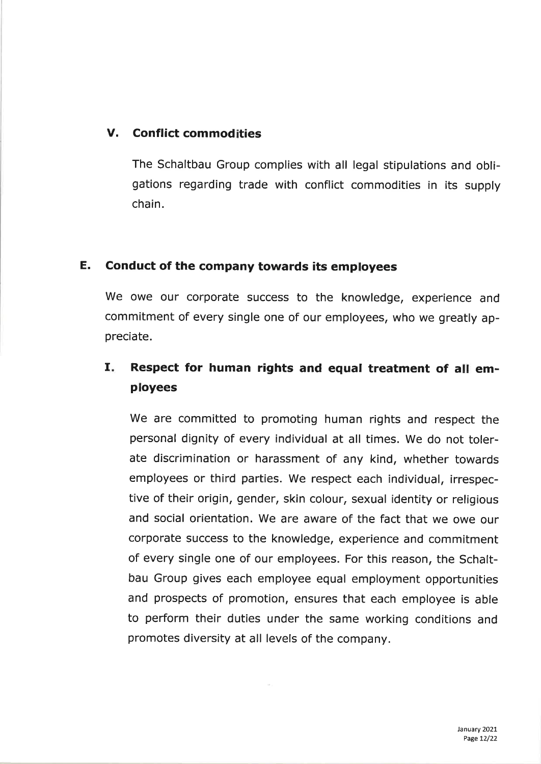## V. Conflict commodities

The Schaltbau Group complies with all legal stipulations and obligations regarding trade with conflict commodities in its supply chain.

## E. Conduct of the company towards its employees

We owe our corporate success to the knowledge, experience and commitment of every single one of our employees, who we greatly appreciate.

## I. Respect for human rights and equal treatment of all employees

We are committed to promoting human rights and respect the personal dignity of every individual at all times. we do not tolerate discrimination or harassment of any kind, whether towards employees or third parties. We respect each individual, irrespective of their origin, gender, skin colour, sexual identity or religious and social orientation. we are aware of the fact that we owe our corporate success to the knowledge, experience and commitment of every single one of our employees. For this reason, the Schaltbau Group gives each employee equal employment opportunities and prospects of promotion, ensures that each employee is able to perform their duties under the same working conditions and promotes diversity at all levels of the company.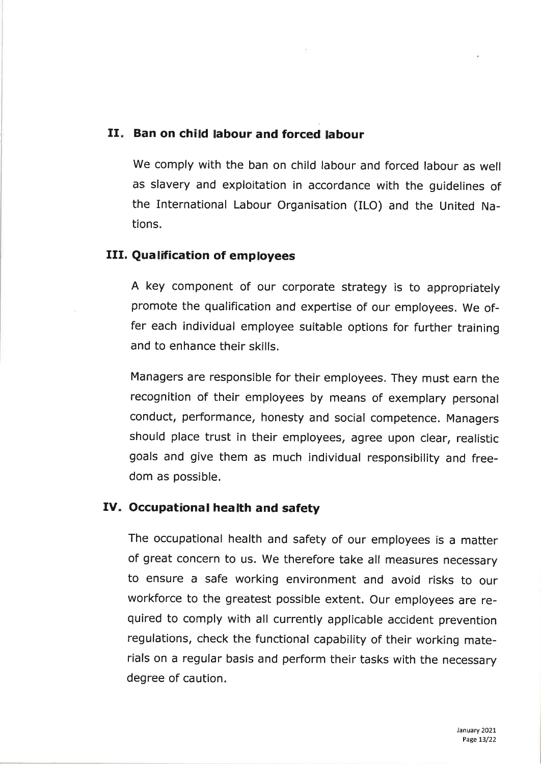#### II. Ban on child labour and forced labour

we comply with the ban on child labour and forced labour as well as slavery and exploitation in accordance with the guidelines of the International Labour Organisation (ILO) and the United Nations.

#### III. Qualification of employees

A key component of our corporate strategy is to appropriately promote the qualification and expertise of our employees. we offer each individual employee suitable options for further training and to enhance their skills.

Managers are responsible for their employees. They must earn the recognition of their employees by means of exemplary personal conduct, performance, honesty and social competence. Managers should place trust in their employees, agree upon clear, realistic goals and give them as much individual responsibility and freedom as possible.

#### IV. Occupational health and safety

The occupational health and safety of our employees is a matter of great concern to us. we therefore take all measures necessary to ensure a safe working environment and avoid risks to our workforce to the greatest possible extent. our employees are required to comply with all currently applicable accident prevention regulations, check the functional capability of their working materials on a regular basis and perform their tasks with the necessary degree of caution.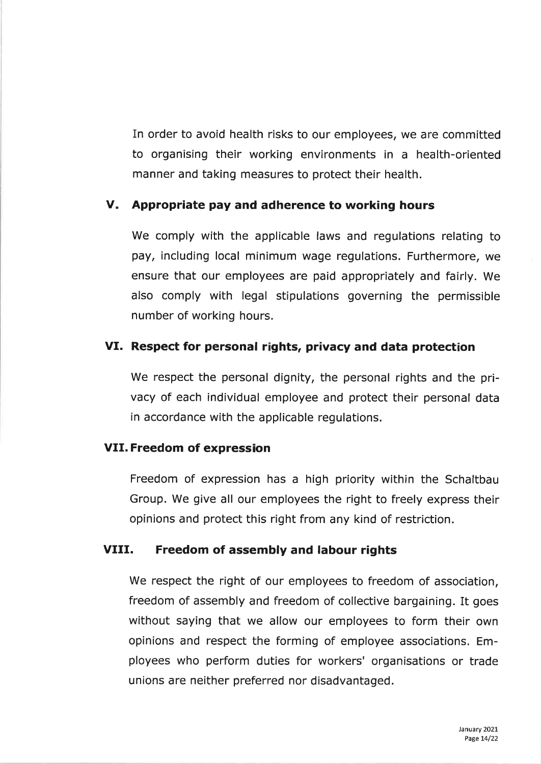In order to avoid health risks to our employees, we are committed to organising their working environments in a health-oriented manner and taking measures to protect their health.

## V. Appropriate pay and adherence to working hours

We comply with the applicable laws and regulations relating to pay, including local minimum wage regulations. Furthermore, we ensure that our employees are paid appropriately and fairly. We also comply with legal stipulations governing the permissible number of working hours.

## Vf. Respect for personal rights, privacy and data protection

We respect the personal dignity, the personal rights and the privacy of each individual employee and protect their personal data in accordance with the applicable regulations.

#### VII. Freedom of expression

Freedom of expression has a high priority within the Schaltbau Group. We give all our employees the right to freely express their opinions and protect this right from any kind of restriction.

#### VIII. Freedom of assembly and labour rights

We respect the right of our employees to freedom of association, freedom of assembly and freedom of collective bargaining. It goes without saying that we allow our employees to form their own opinions and respect the forming of employee associations. Employees who perform duties for workers' organisations or trade unions are neither preferred nor disadvantaged.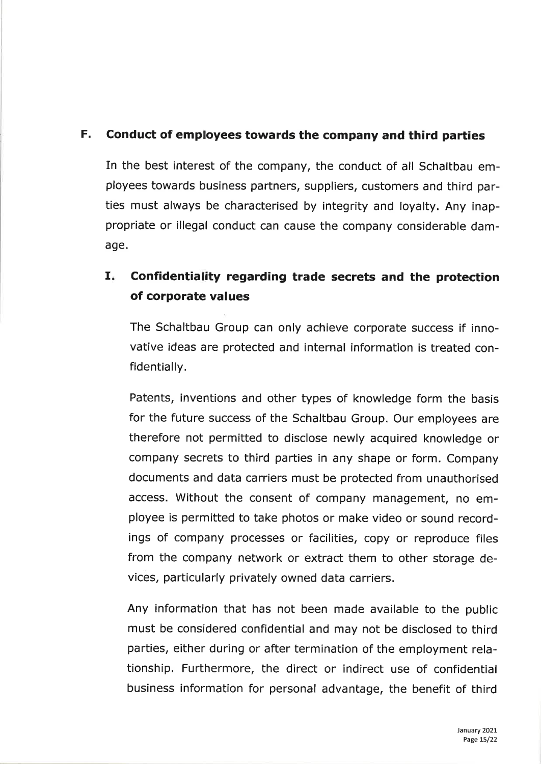## F. Conduct of employees towards the company and third parties

In the best interest of the company, the conduct of all Schaltbau employees towards business partners, suppliers, customers and third parties must always be characterised by integrity and loyalty. Any inappropriate or illegal conduct can cause the company considerable damage.

#### Confidentiality regarding trade secrets and the protection of corporate values  $\mathbf{I}$  is

The Schaltbau Group can only achieve corporate success if innovative ideas are protected and internal information is treated confidentially.

Patents, inventions and other types of knowledge form the basis for the future success of the Schaltbau Group. Our employees are therefore not permitted to disclose newly acquired knowledge or company secrets to third parties in any shape or form. Company documents and data carriers must be protected from unauthorised access. Without the consent of company management, no employee is permitted to take photos or make video or sound recordings of company processes or facilities, copy or reproduce files from the company network or extract them to other storage devices, particularly privately owned data carriers.

Any information that has not been made available to the public must be considered confidential and may not be disclosed to third parties, either during or after termination of the employment relationship. Furthermore, the direct or indirect use of confidential business information for personal advantage, the benefit of third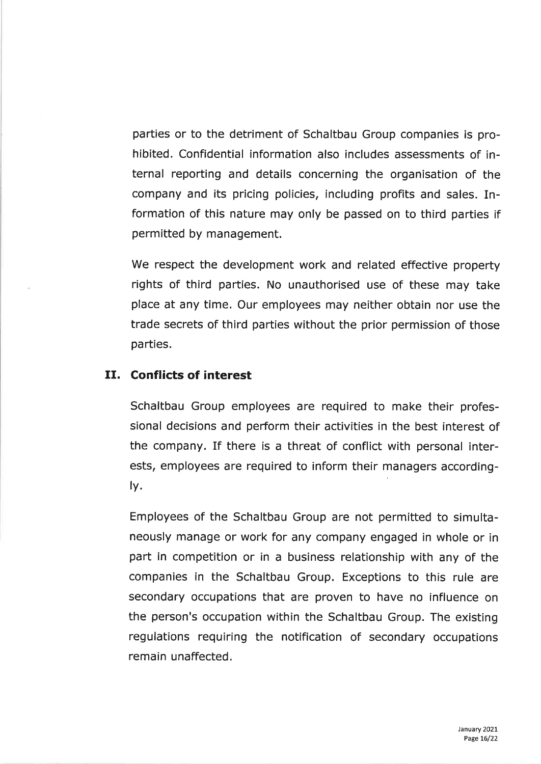parties or to the detriment of Schaltbau Group companies is prohibited. Confidential information also includes assessments of internal reporting and details concerning the organisation of the company and its pricing policies, including profits and sales. Information of this nature may only be passed on to third parties if permitted by management.

We respect the development work and related effective property rights of third parties. No unauthorised use of these may take place at any time. Our employees may neither obtain nor use the trade secrets of third parties without the prior permission of those parties.

#### If. Conflicts of interest

Schaltbau Group employees are required to make their professional decisions and perform their activities in the best interest of the company. If there is a threat of conflict with personal interests, employees are required to inform their managers accordingly.

Employees of the Schaltbau Group are not permitted to simultaneously manage or work for any company engaged in whole or in part in competition or in a business relationship with any of the companies in the Schaltbau Group. Exceptions to this rule are secondary occupations that are proven to have no influence on the person's occupation within the Schaltbau Group. The existing regulations requiring the notification of secondary occupations remain unaffected.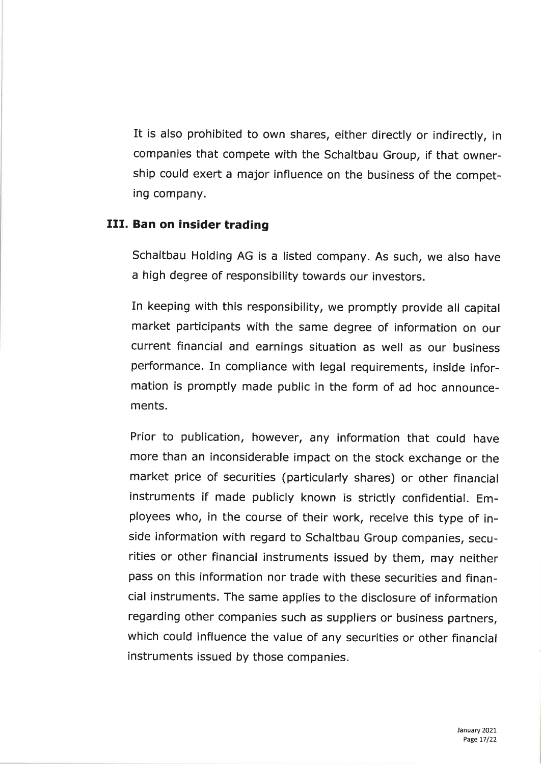It is also prohibited to own shares, either directly or indirectly, in companies that compete with the schaltbau Group, if that ownership could exert a major influence on the business of the competing company.

#### III. Ban on insider trading

Schaltbau Holding AG is a listed company. As such, we also have a high degree of responsibility towards our investors.

In keeping with this responsibility, we promptly provide all capital market participants with the same degree of information on our current financial and earnings situation as well as our business performance. In compliance with legal requirements, inside information is promptly made public in the form of ad hoc announcements.

Prior to publication, however, any information that could have more than an inconsiderable impact on the stock exchange or the market price of securities (particularly shares) or other financial instruments if made publicly known is strictly confidential. Employees who, in the course of their work, receive this type of inside information with regard to schaltbau Group companies, securities or other financial instruments issued by them, may neither pass on this information nor trade with these securities and financial instruments. The same applies to the disclosure of information regarding other companies such as suppliers or business partners, which could influence the value of any securities or other financial instruments issued by those companies.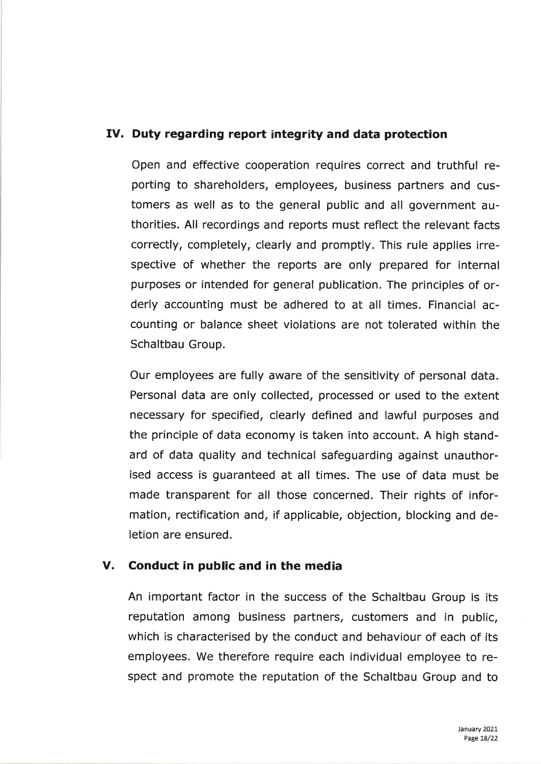## IV. Duty regarding report integrity and data protection

Open and effective cooperation requires correct and truthful reporting to shareholders, employees, business partners and customers as well as to the general public and all government authorities. All recordings and reports must reflect the relevant facts correctly, completely, clearly and promptly. This rule applies irrespective of whether the reports are only prepared for internal purposes or intended for general publication. The principles of orderly accounting must be adhered to at all times. Financial accounting or balance sheet violations are not tolerated within the Schaltbau Group.

Our employees are fully aware of the sensitivity of personal data. Personal data are only collected, processed or used to the extent necessary for specified, clearly defined and lawful purposes and the principle of data economy is taken into account. A high standard of data quality and technical safeguarding against unauthorised access is guaranteed at all times. The use of data must be made transparent for all those concerned. Their rights of information, rectification and, if applicable, objection, blocking and deletion are ensured.

## V. Conduct in public and in the media

An important factor in the success of the Schaltbau Group is its reputation among business partners, customers and in public, which is characterised by the conduct and behaviour of each of its employees. We therefore require each individual employee to respect and promote the reputation of the Schaltbau Group and to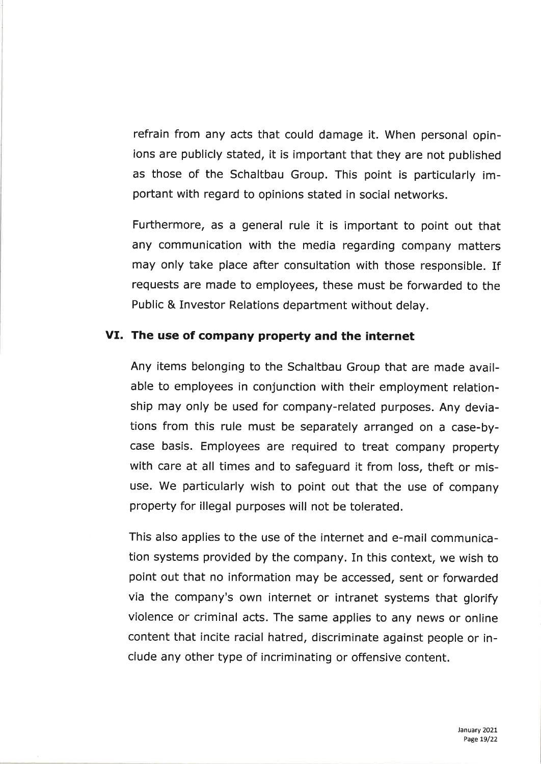refrain from any acts that could damage it. When personal opinions are publicly stated, it is important that they are not published as those of the Schaltbau Group. This point is particularly important with regard to opinions stated in social networks.

Furthermore, as a general rule it is important to point out that any communication with the media regarding company matters may only take place after consultation with those responsible. If requests are made to employees, these must be forwarded to the Public & Investor Relations department without delay.

#### VI. The use of company property and the internet

Any items belonging to the Schaltbau Group that are made available to employees in conjunction with theír employment relationship may only be used for company-related purposes. Any deviations from this rule must be separately arranged on a case-bycase basis. Employees are required to treat company property with care at all times and to safeguard it from loss, theft or misuse. We particularly wish to point out that the use of company property for illegal purposes will not be tolerated.

This also applies to the use of the internet and e-mail communication systems provided by the company. In this context, we wish to point out that no information may be accessed, sent or forwarded via the company's own internet or intranet systems that glorify violence or criminal acts. The same applies to any news or online content that incite racial hatred, discriminate against people or include any other type of incriminating or offensive content.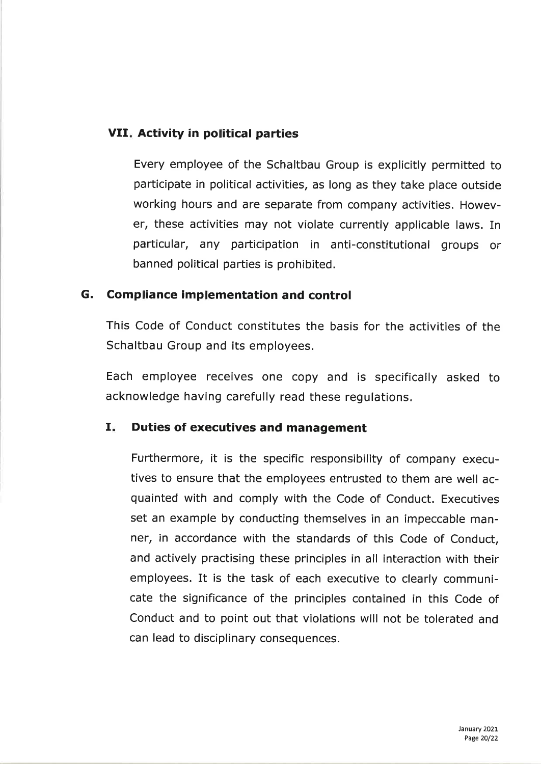## VII. Activity in political parties

Every employee of the Schaltbau Group is explicitly permitted to participate in political activities, as long as they take place outside working hours and are separate from company activities. However, these activities may not violate currently applicable laws. In particular, any participation in anti-constitutional groups or banned political parties is prohibited.

#### G. Compliance implementation and control

This Code of Conduct constitutes the basis for the activities of the Schaltbau Group and its employees.

Each employee receives one copy and is specifically asked to acknowledge having carefully read these regulations.

#### I. Duties of executives and management

Furthermore, it is the specific responsibility of company executives to ensure that the employees entrusted to them are well acquainted with and comply with the Code of Conduct. Executives set an example by conducting themselves in an impeccable manner, in accordance with the standards of this Code of Conduct, and actively practising these principles in all interaction with their employees. It is the task of each executive to clearly communicate the significance of the principles contained in this Code of Conduct and to point out that violations will not be tolerated and can lead to disciplinary consequences.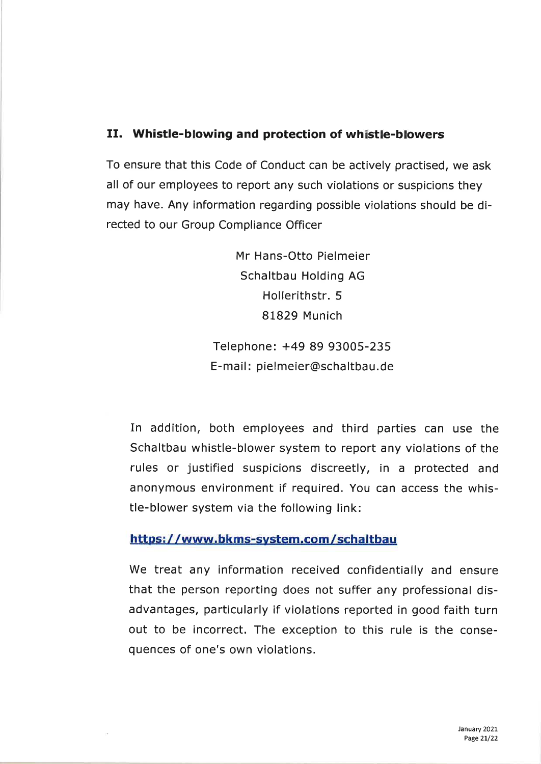## II. Whistle-blowing and protection of whistle-blowers

To ensure that this Code of Conduct can be actively practised, we ask all of our employees to report any such violations or suspicions they may have. Any information regarding possible violations should be directed to our Group Compliance Officer

> Mr Hans-Otto Pielmeier Schaltbau Holding AG Hollerithstr. 5 81829 Munich

Telephone: +49 89 93005-235 E-mail : pielmeier@schaltbau.de

In addition, both employees and third parties can use the Schaltbau whistle-blower system to report any violations of the rules or justified suspicions discreetly, in a protected and anonymous environment if required. You can access the whistle-blower system via the following link:

#### https://www.bkms-system.com/schaltbau

We treat any information received confidentially and ensure that the person reporting does not suffer any professional disadvantages, particularly if violations reported in good faith turn out to be incorrect. The exception to this rule is the consequences of one's own violations.